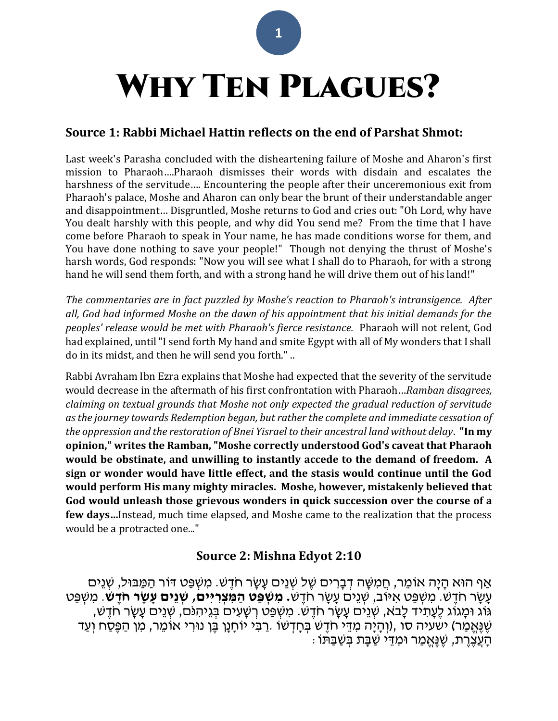# WHY TEN PLAGUES?

## **Source 1: Rabbi Michael Hattin reflects on the end of Parshat Shmot:**

Last week's Parasha concluded with the disheartening failure of Moshe and Aharon's first mission to Pharaoh….Pharaoh dismisses their words with disdain and escalates the harshness of the servitude…. Encountering the people after their unceremonious exit from Pharaoh's palace, Moshe and Aharon can only bear the brunt of their understandable anger and disappointment… Disgruntled, Moshe returns to God and cries out: "Oh Lord, why have You dealt harshly with this people, and why did You send me? From the time that I have come before Pharaoh to speak in Your name, he has made conditions worse for them, and You have done nothing to save your people!" Though not denying the thrust of Moshe's harsh words, God responds: "Now you will see what I shall do to Pharaoh, for with a strong hand he will send them forth, and with a strong hand he will drive them out of his land!"

*The commentaries are in fact puzzled by Moshe's reaction to Pharaoh's intransigence. After all, God had informed Moshe on the dawn of his appointment that his initial demands for the peoples' release would be met with Pharaoh's fierce resistance.* Pharaoh will not relent, God had explained, until "I send forth My hand and smite Egypt with all of My wonders that I shall do in its midst, and then he will send you forth." ..

Rabbi Avraham Ibn Ezra explains that Moshe had expected that the severity of the servitude would decrease in the aftermath of his first confrontation with Pharaoh…*Ramban disagrees, claiming on textual grounds that Moshe not only expected the gradual reduction of servitude as the journey towards Redemption began, but rather the complete and immediate cessation of the oppression and the restoration of Bnei Yisrael to their ancestral land without delay*. **"In my opinion," writes the Ramban, "Moshe correctly understood God's caveat that Pharaoh would be obstinate, and unwilling to instantly accede to the demand of freedom. A sign or wonder would have little effect, and the stasis would continue until the God would perform His many mighty miracles. Moshe, however, mistakenly believed that God would unleash those grievous wonders in quick succession over the course of a few days…**Instead, much time elapsed, and Moshe came to the realization that the process would be a protracted one..."

## **Source 2: Mishna Edyot 2:10**

ָאַף הוּא הַיַּה אוֹמֵר, חֲמִשָּׁה דְּבָרִים שֶׁל שָׁנֵים עַשַׂר חֹדֶש. מִשְׁפֵּט דּוֹר הַמַּבּוּל, שָׁנֵים עָ שָ ר חֹדֶׁ ש. מִ שְ פַט אִ ּיֹוב, שְ נֵים עָ שָ ר חֹדֶׁ ש**. מִ שְׁ פַּט הַּ מִ צְׁ רִ יִים, שְׁ נֵים עָ שָ ר חֹדֶ ש**. מִ שְ פַט ּגֹוג ּומָ גֹוג לֶׁעָ תִ יד לָב ֹא, שְ נֵים עָ שָ ר חֹדֶׁ ש. מִ שְ פַט רְ שָ עִ ים ּבְ גֵיהִ נֹם, שְ נֵים עָ שָ ר חֹדֶׁ ש, ְשֶׁגֶּאֱמַר) [ישעיה סו](/Isaiah.66) ,(וְהָיָה מִדֵּי חֹדֶשׁ בְּחָדְשׁוֹ .רַבִּי יוֹחָנָן בֶּן נוּרִי אוֹמֵר, מִן הַפֶּסַח וְעַד ּהָעֲצֶׁרֶת, שֶׁנֶּאֱמַר וּמְדֵי שַׁבָּת בְּשַׁבַּתּוֹ :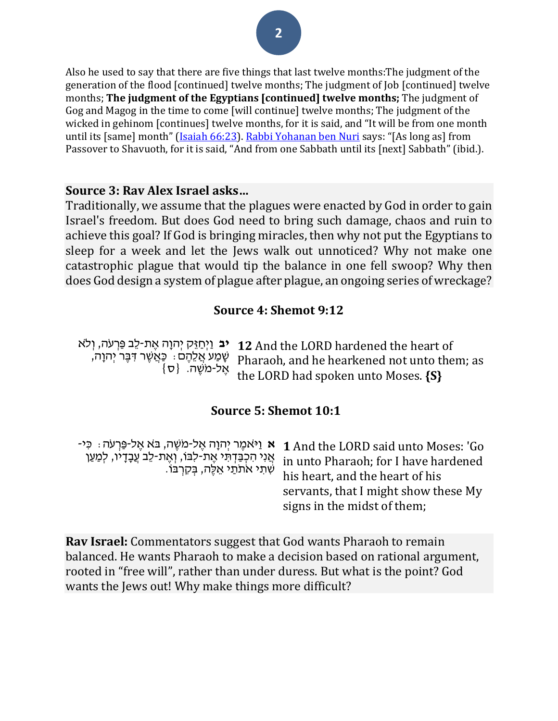Also he used to say that there are five things that last twelve months:The judgment of the generation of the flood [continued] twelve months; The judgment of Job [continued] twelve months; **The judgment of the Egyptians [continued] twelve months;** The judgment of Gog and Magog in the time to come [will continue] twelve months; The judgment of the wicked in gehinom [continues] twelve months, for it is said, and "It will be from one month until its [same] month" [\(Isaiah 66:23\)](/Isaiah.66.23). [Rabbi Yohanan ben Nuri](/topics/rabbi-yohanan-b-nuri) says: "[As long as] from Passover to Shavuoth, for it is said, "And from one Sabbath until its [next] Sabbath" (ibid.).

#### **Source 3: Rav Alex Israel asks…**

Traditionally, we assume that the plagues were enacted by God in order to gain Israel's freedom. But does God need to bring such damage, chaos and ruin to achieve this goal? If God is bringing miracles, then why not put the Egyptians to sleep for a week and let the Jews walk out unnoticed? Why not make one catastrophic plague that would tip the balance in one fell swoop? Why then does God design a system of plague after plague, an ongoing series of wreckage?

## **Source 4: Shemot 9:12**

**יב** וַיִּחַזֵּק יִהוָה אֵת-לֵב פַּרְעֹה, וְלֹא שָ מַ ע אֲ לֵהֶׁ ם: כַאֲ שֶׁ ר ּדִ ּבֶׁ ר יְהוָה,  $\{\mathtt{\mathtt{v}}\}$  אֶל-מֹשֶׁה.  $\{\mathtt{\mathtt{v}}\}$ **12** And the LORD hardened the heart of Pharaoh, and he hearkened not unto them; as the LORD had spoken unto Moses. **{S}**

## **Source 5: Shemot 10:1**

| י 1 And the LORD said unto Moses: 'Go מֵיּאמֶר יְהוָה אֶל-מֹשֶׁה, בּא אֵל-פַּרְעֹה : כִּי<br>in unto Pharaoh; for I have hardened<br>his heart, and the heart of his<br>servants, that I might show these My<br>signs in the midst of them; |
|---------------------------------------------------------------------------------------------------------------------------------------------------------------------------------------------------------------------------------------------|
|                                                                                                                                                                                                                                             |
|                                                                                                                                                                                                                                             |

**Rav Israel:** Commentators suggest that God wants Pharaoh to remain balanced. He wants Pharaoh to make a decision based on rational argument, rooted in "free will", rather than under duress. But what is the point? God wants the Jews out! Why make things more difficult?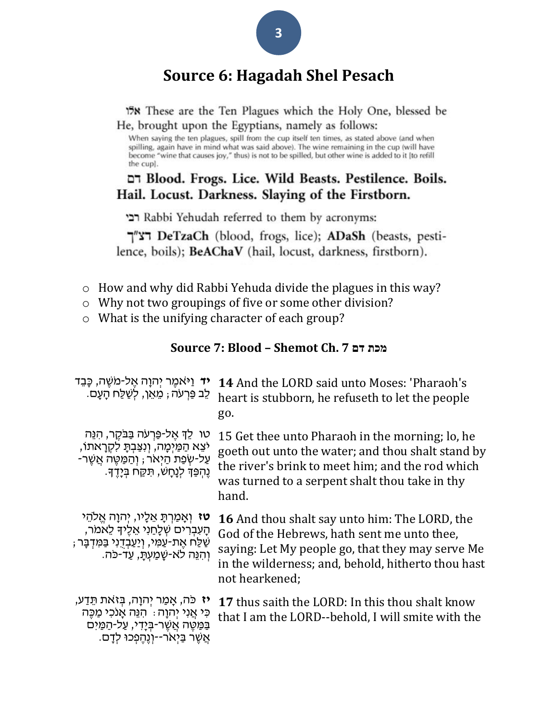## **Source 6: Hagadah Shel Pesach**

**158** These are the Ten Plagues which the Holy One, blessed be He, brought upon the Egyptians, namely as follows:

When saying the ten plagues, spill from the cup itself ten times, as stated above (and when spilling, again have in mind what was said above). The wine remaining in the cup (will have become "wine that causes joy," thus) is not to be spilled, but other wine is added to it [to refill the cup].

## דם Blood. Frogs. Lice. Wild Beasts. Pestilence. Boils. Hail. Locust. Darkness. Slaying of the Firstborn.

referred to them by acronyms: רבי

דצ"ך DeTzaCh (blood, frogs, lice); ADaSh (beasts, pestilence, boils); **BeAChaV** (hail, locust, darkness, firstborn).

- o How and why did Rabbi Yehuda divide the plagues in this way?
- o Why not two groupings of five or some other division?
- o What is the unifying character of each group?

#### **Source 7: Blood – Shemot Ch. 7 דם מכת**

| <b>יד</b> וַיּאמֶר יְהוָה אֶל-מֹשֶׁה, כָּבֵד<br>ֹלֶב פַּרְעֹה ; מֵאֵן, לְשַׁלַּח הָעָם.                                                                                         | <b>14</b> And the LORD said unto Moses: 'Pharaoh's<br>heart is stubborn, he refuseth to let the people<br>go.                                                                                                                   |
|---------------------------------------------------------------------------------------------------------------------------------------------------------------------------------|---------------------------------------------------------------------------------------------------------------------------------------------------------------------------------------------------------------------------------|
| ּטו לֵךְ אֵל-פַּרְעֹה בַּבֹּקֵר, הָנֵּה<br>יֹצֵא הַמַּיִמָה, וְנִצַּבִתָּ לִקְרָאתוֹ,<br>ּעַל-שְׂפַת הַיָּאֹר, וְהַמַּטֵּה אֲשֶׁר-<br>ֶנֶּהְפַּךָּ לְנָחָשׁ, תִּקַּח בִּיָדֵךָ. | 15 Get thee unto Pharaoh in the morning; lo, he<br>goeth out unto the water; and thou shalt stand by<br>the river's brink to meet him; and the rod which<br>was turned to a serpent shalt thou take in thy<br>hand.             |
| <b>טז</b> וְאָמַרְתָּ אֵלָיו, יִהוָה אֱלֹהֵי<br>הַעִּבְרִים שִׁלַחַנִי אֱלֵיךָ לֵאמֹר,<br>ּשַׁלַּח אֵת-עַמִּי, וְיַעַבְדֻנִי בַּמִּדְבָּר<br>וְהִנֵּה לֹא-שָׁמַעְתַּ, עַד-כֹּה. | <b>16</b> And thou shalt say unto him: The LORD, the<br>God of the Hebrews, hath sent me unto thee,<br>saying: Let My people go, that they may serve Me<br>in the wilderness; and, behold, hitherto thou hast<br>not hearkened; |
| <b>יז</b> כֹּה, אָמַר יִהוָה, בִּזאת תֵּדַע,<br>כִּי אֲנִי יְהוָה : הִנֵּה אָנֹכִי מַכֵּה<br>בַּמַּטֶּה אֲשֶׁר-בְּיָדִי, עַל-הַמַּיִּם<br>אֵשֶׁר בַּיְאֹר--וְנֵהֶפְכוּ לְדַם.   | 17 thus saith the LORD: In this thou shalt know<br>that I am the LORD--behold, I will smite with the                                                                                                                            |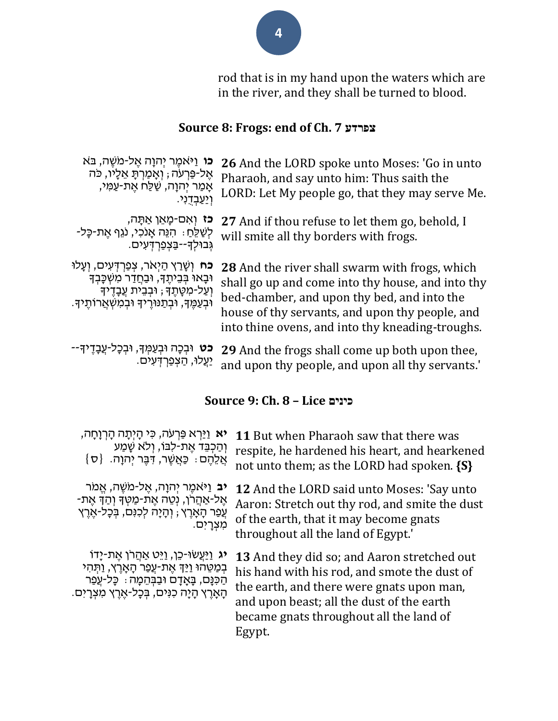rod that is in my hand upon the waters which are in the river, and they shall be turned to blood.

## **Source 8: Frogs: end of Ch. 7 צפרדע**

| <b>כו</b> וַיּאמֶר יְהוָה אֵל-מֹשֵׁה, בּא<br>אֵל-פַּרִעֹה ; וְאָמַרְתָּ אֵלָיו, כֹּה<br>אָמַר יִהוָה, שַׁלַּח אֵת-עַמִּי,<br>וְיַעֲבְדִנִי.                                                      | 26 And the LORD spoke unto Moses: 'Go in unto<br>Pharaoh, and say unto him: Thus saith the<br>LORD: Let My people go, that they may serve Me.                                                                                                             |
|--------------------------------------------------------------------------------------------------------------------------------------------------------------------------------------------------|-----------------------------------------------------------------------------------------------------------------------------------------------------------------------------------------------------------------------------------------------------------|
| <b>כז</b> וְאָם-מָאֵן אַתָּה,<br>ַלְשַׁלֵּחַ: הִנֵּה אָנֹכִי, נֹגֵף אֵת-כָּל-<br>גְּבוּלְךָ--בַּצְפַרְדָּעָים.                                                                                   | 27 And if thou refuse to let them go, behold, I<br>will smite all thy borders with frogs.                                                                                                                                                                 |
| <b>ָכֹח</b> וְשָׁרַץ הַיָּאֹר, צִפַּרְדָּעִים, וְעָלוּ<br>וּבָאוּ בְּבֵיתֶךָ, וּבַחֲדַר מִשְׁכָּבְךָ<br>וְעַל-מִטָּתֶךָ; וּבְבֵית עֲבָדֶיךָ<br>וּבְעַמֶּךָ, וּבְתַנּוּרֶיךָ וּבְמִשְׁאֲרוֹתֶיךָ. | 28 And the river shall swarm with frogs, which<br>shall go up and come into thy house, and into thy<br>bed-chamber, and upon thy bed, and into the<br>house of thy servants, and upon thy people, and<br>into thine ovens, and into thy kneading-troughs. |
| <b>כט</b> וּבְכָה וּבְעַמְּךָ, וּבְכָל-עֲבָדֶיךָ--<br>יַעֲלוּ, הַצְפַרְדְּעִים.                                                                                                                  | <b>29</b> And the frogs shall come up both upon thee,<br>and upon thy people, and upon all thy servants.'                                                                                                                                                 |

## **Source 9: Ch. 8 – Lice כינים**

| <b>יא</b> וַיַּרְא פַּרְעֹה, כִּי הָיְתָה הָרְוָחָה,                                                                                                                                                          | 11 But when Pharaoh saw that there was                                                                                                                                                                                                            |
|---------------------------------------------------------------------------------------------------------------------------------------------------------------------------------------------------------------|---------------------------------------------------------------------------------------------------------------------------------------------------------------------------------------------------------------------------------------------------|
| וְהַכְבֵּד אֶת-לְבּוֹ, וְלֹא שָׁמַע                                                                                                                                                                           | respite, he hardened his heart, and hearkened                                                                                                                                                                                                     |
| אֲלֵחֶם: כַּאֲשֶׁר, דְּבֶר יְהוָה. {ס                                                                                                                                                                         | not unto them; as the LORD had spoken. {S}                                                                                                                                                                                                        |
| <b>יב</b> וַיּאמֶר יְהוָה, אֱל-מֹשֶׁה, אֱמֹר                                                                                                                                                                  | 12 And the LORD said unto Moses: 'Say unto                                                                                                                                                                                                        |
| ּאֶל-אַהֲרֹן, נְטֵה אֶת-מַטְךָ וְהַדְ אֵת-                                                                                                                                                                    | Aaron: Stretch out thy rod, and smite the dust                                                                                                                                                                                                    |
| עֲפַר הָאָרֶץ ; וְהָיָה לְכִנִּם, בְּכָל-אֶרֶץ                                                                                                                                                                | of the earth, that it may become gnats                                                                                                                                                                                                            |
| מִצְרָיִם.                                                                                                                                                                                                    | throughout all the land of Egypt.                                                                                                                                                                                                                 |
| <b>יג</b> וַיַּעֲשׂוּ-כֵן, וַיֵּט אַהֲרֹן אֵת-יָדוֹ<br>ּבְמַטֵּהוּ וַיַּךְּ אֵת-עֵפַר הָאָרֵץ, וַתִּהִי<br>ּהַכִּנָּם, בָּאָדָם וּבַבְּהֵמָה ִּ כָּל-עֲפַר<br>הָאָרֶץ הָיָה כִּנִּים, בְּכָל-אֶרֶץ מִצְרָיִם. | <b>13</b> And they did so; and Aaron stretched out<br>his hand with his rod, and smote the dust of<br>the earth, and there were gnats upon man,<br>and upon beast; all the dust of the earth<br>became gnats throughout all the land of<br>Egypt. |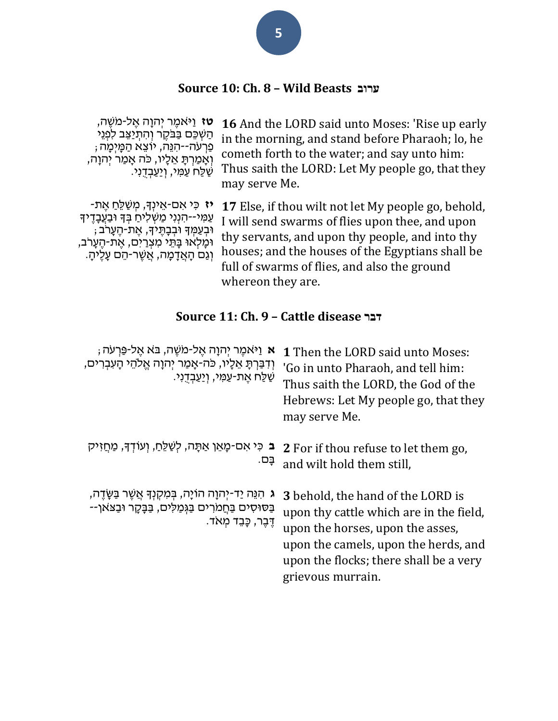## **Source 10: Ch. 8 – Wild Beasts ערוב**

| <b>ָטז</b> וַיֹּאמֵר יִהוַה אֵל-מֹשֵׁה,                                                                                                                                                                            | <b>16</b> And the LORD said unto Moses: 'Rise up early                                                                                                                                                                                                                                    |
|--------------------------------------------------------------------------------------------------------------------------------------------------------------------------------------------------------------------|-------------------------------------------------------------------------------------------------------------------------------------------------------------------------------------------------------------------------------------------------------------------------------------------|
| הַשָּׁכֵּם בַּבֹּקֶר וְהִתְיַצֵּב לְפְנֵי                                                                                                                                                                          | in the morning, and stand before Pharaoh; lo, he                                                                                                                                                                                                                                          |
| ּפַרִעֹה--הִנֵּה, יוֹצֵא הַמָּיִמָה ;                                                                                                                                                                              | cometh forth to the water; and say unto him:                                                                                                                                                                                                                                              |
| וְאָמַרְתָּ אֵלָיו, כֹּה אָמַר יְהוָה,                                                                                                                                                                             | Thus saith the LORD: Let My people go, that they                                                                                                                                                                                                                                          |
| ּשַׁלַּחֹ עַמִּי, וְיַעֲבְדָנִי.                                                                                                                                                                                   | may serve Me.                                                                                                                                                                                                                                                                             |
| יז כִּי אִם-אֵינְךָּ, מִשַׁלֵּחַ אֵת-<br>עַמְי--הִנְנִי מַשְׁלִיחַ בִּךְ וּבַעֲבָדֵיךָ<br>וּבְעַמִךְ וּבְבָתֶיךָ, אֶת-הֶעָרֹב;<br>וּמַלְאוּ בָּתֵי מִצְרַיִם, אֶת-הֶעָרֹב,<br>וְגַם הָאֲדָמָה, אֲשֶׁר-הֵם עָלֶיהָ. | <b>17</b> Else, if thou wilt not let My people go, behold,<br>I will send swarms of flies upon thee, and upon<br>thy servants, and upon thy people, and into thy<br>houses; and the houses of the Egyptians shall be<br>full of swarms of flies, and also the ground<br>whereon they are. |

## **Source 11: Ch. 9 – Cattle disease דבר**

| ּא וַיּאמֵר יִהוַה אֱל-מֹשֶׁה, בּא אֱל-פַּרְעֹה ;<br>וְדִבַּרְתָּ אֵלָיו, כֹּה-אָמַר יְהוָה אֱלֹהֵי הָעִבְרִים,<br>ּשַׁלַּח אֶת-עַמִּי, וְיַעַבְדָנִי. | <b>1</b> Then the LORD said unto Moses:<br>'Go in unto Pharaoh, and tell him:<br>Thus saith the LORD, the God of the<br>Hebrews: Let My people go, that they<br>may serve Me.                                                  |
|--------------------------------------------------------------------------------------------------------------------------------------------------------|--------------------------------------------------------------------------------------------------------------------------------------------------------------------------------------------------------------------------------|
| ב כִּי אִם-מָאֵן אַתָּה, לְשַׁלֵּחַ, וְעוֹדְךָ, מַחֲזִיק<br>ַבָּם.                                                                                     | 2 For if thou refuse to let them go,<br>and wilt hold them still,                                                                                                                                                              |
| ּג הִנֵּה יַד-יִהוָה הוֹיָה, בִּמְקִנְךָּ אֲשֵׁר בַּשָּׂדֵה,<br>ּבַּסוּסִים בַּחֲמֹרִים בַּגְּמַלִּים, בַּבָּקָר וּבַצֹּאוֹ־-<br>דֶּבֶר, כָּבֵד מִאֹד. | <b>3</b> behold, the hand of the LORD is<br>upon thy cattle which are in the field,<br>upon the horses, upon the asses,<br>upon the camels, upon the herds, and<br>upon the flocks; there shall be a very<br>grievous murrain. |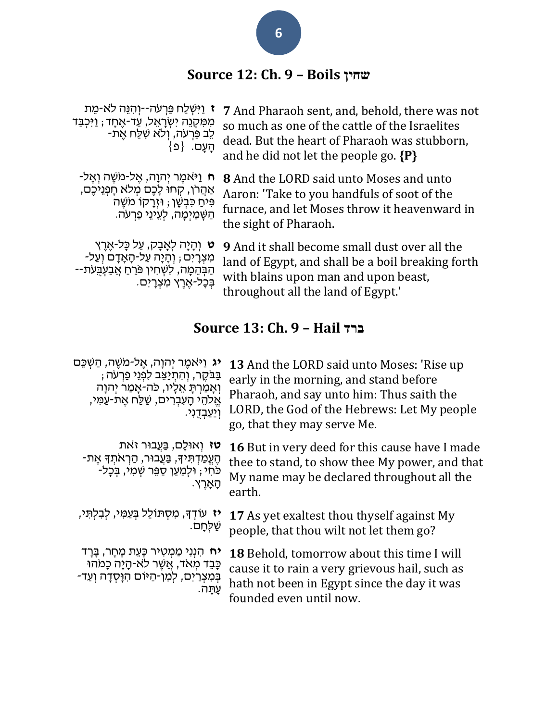## **Source 12: Ch. 9 – Boils שחין**

| ּז וַיִּשְׁלַח פַּרְעֹה־-יִוְהָנֵּה לֹא-מֵת<br>מִמְקְנֵה יִשְׂרָאֵל, עַד-ֹאֶחָד; וַיִּכְבַּד<br>לֵב פַּרְעֹה, וְלֹא שִׁלֵּח אֶת-<br>הָעָם. {פ} | 7 And Pharaoh sent, and, behold, there was not<br>so much as one of the cattle of the Israelites<br>dead. But the heart of Pharaoh was stubborn,<br>and he did not let the people go. $\{P\}$ |
|------------------------------------------------------------------------------------------------------------------------------------------------|-----------------------------------------------------------------------------------------------------------------------------------------------------------------------------------------------|
| ּח וַיּאמֶר יְהוָה, אֱל-מֹשֶׁה וְאֱל-                                                                                                          | 8 And the LORD said unto Moses and unto                                                                                                                                                       |
| אַהֲרֹן, קְחוּ לָכֶם מְלֹא חָפְנִיכֶם,                                                                                                         | Aaron: 'Take to you handfuls of soot of the                                                                                                                                                   |
| פִּיחַ כִּבְשָׁן ; וּזְרָקוֹ מֹשֶׁה                                                                                                            | furnace, and let Moses throw it heavenward in                                                                                                                                                 |
| ּהַשָּׁמַיִּמָה, לְעֵינֵי פַרְעֹה.                                                                                                             | the sight of Pharaoh.                                                                                                                                                                         |

**ּט** וְהָיָה לְאָבָק, עַל כָּל-אֶרֶץ -מִצְרָיִם ; וְהָיָה עַל-הָאָדָם וְעַל ּהַבְּהֵמֶה, לִשְׁחִין פֹּרֵחַ אֲבַעְבָּעֹת--<sup>ּ</sup>בְּכָל-אֶרֶץ מִצְרָיִם.

**9** And it shall become small dust over all the land of Egypt, and shall be a boil breaking forth with blains upon man and upon beast, throughout all the land of Egypt.'

## **Source 13: Ch. 9 – Hail ברד**

| יג וַיּאמֵר יִהוָה, אֱל-מֹשֵׁה, הַשְׁכֵּם       | <b>13</b> And the LORD said unto Moses: 'Rise up      |
|-------------------------------------------------|-------------------------------------------------------|
| בַּבֹּקֶר, וְהִתְיַצֵּב לְפְנֵי פַרְעֹה ;       | early in the morning, and stand before                |
| וְאָמַרְתָּ אֵלָיו, כֹּה-אָמַר יִהוַה           | Pharaoh, and say unto him: Thus saith the             |
| אֱלֹהֵי הָעְבִרִים, שַׁלַּח אֶת-עַמִּי,         | LORD, the God of the Hebrews: Let My people           |
| <u>וְיַעֲבְדָנִי.</u>                           | go, that they may serve Me.                           |
| טז וְאוּלַם, בַּעֲבוּר זֹאת                     | <b>16</b> But in very deed for this cause have I made |
| ּהֶעֱמַדְתִּידָּ, בַּעֲבוּר, הַרְאֹתְדָּ אֶת-   | thee to stand, to show thee My power, and that        |
| ֿכֹּחִי , וּלְמַעַן סַפֵּר שִׁמִי, בִּכַל-      | My name may be declared throughout all the            |
| ַהָאָרֵץ.                                       | earth.                                                |
| יז עוֹדְךָ, מִסְתּוֹלֵל בְּעַמִּי, לְבִלְתִּי,  | 17 As yet exaltest thou thyself against My            |
| ּשַׁלְּחַם.                                     | people, that thou wilt not let them go?               |
| <b>יח</b> הִנְנִי מַמְטִיר כָּעֵת מָחָר, בָּרָד | <b>18</b> Behold, tomorrow about this time I will     |
| כָּבֵד מְאֹד, אֲשֶׁר לֹא-הָיָה כָּמֹהוּ         | cause it to rain a very grievous hail, such as        |
| בְּמִצְרַיִם, לְמְן-הַיּוֹם הִוַּסְדָה וְעַד-   | hath not been in Egypt since the day it was           |
| עֲתָּה.                                         | founded even until now.                               |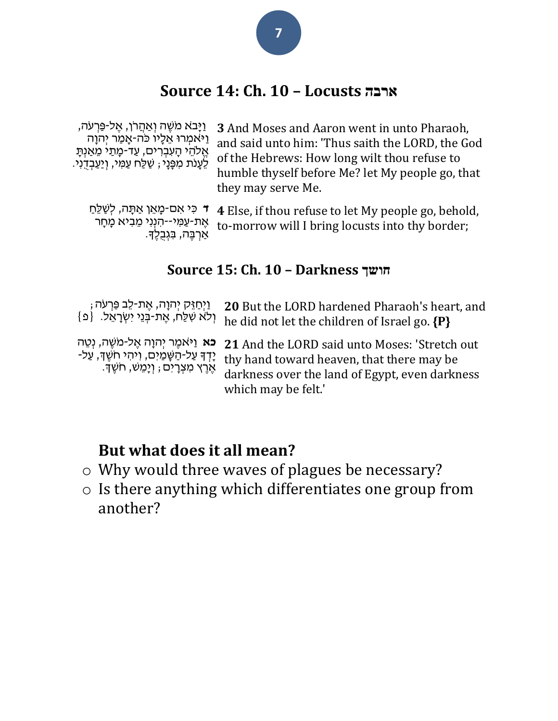## **Source 14: Ch. 10 – Locusts ארבה**

| ַוַיָּבֹא מֹשֶׁה וְאַהֲרֹן, אֶל-פַּרְעֹה,<br>ַוַיֹּאמְרוּ אֵלָיו כּה-אָמַר יִהוַה<br>אֱלֹהֵי הָעִבְרִים, עַד-מָתַי מֵאֲנִתַּ<br>לֵעָנֹת מְפָּנֵי , שַׁלַּח עַמִּי, וְיַעֲבְדֶנִי. | 3 And Moses and Aaron went in unto Pharaoh,<br>and said unto him: 'Thus saith the LORD, the God<br>of the Hebrews: How long wilt thou refuse to<br>humble thyself before Me? let My people go, that<br>they may serve Me. |
|-----------------------------------------------------------------------------------------------------------------------------------------------------------------------------------|---------------------------------------------------------------------------------------------------------------------------------------------------------------------------------------------------------------------------|
| ד כִּי אִם-מָאֵן אַתָּה, לִשַּׁלֵחַ                                                                                                                                               | <b>4</b> Else, if thou refuse to let My people go, behold,                                                                                                                                                                |
| אֶת-עַמִּי--הִנְנִי מֵבִיא מַחָר                                                                                                                                                  | to-morrow will I bring locusts into thy border.                                                                                                                                                                           |

## **Source 15: Ch. 10 – Darkness חושך**

to-morrow will I bring locusts into thy border;

| וַיְחַזֵּק יְהוָה, אֶת-לֵב פַּרְעֹה ;<br>וְלֹא שִׁלֵּח, אֶת-בְּנֵי יִשְׂרָאֵל.  {פ | 20 But the LORD hardened Pharaoh's heart, and<br>he did not let the children of Israel go. {P}                                                                                                                                                                                                      |
|------------------------------------------------------------------------------------|-----------------------------------------------------------------------------------------------------------------------------------------------------------------------------------------------------------------------------------------------------------------------------------------------------|
| ֹאֶרֶץ מִצְרָיִם ; וְיָמֵשׁ, חֹשֵׁךָ.                                              | פא וַיּאמֶר יְהוָה אֶל-מֹשֶׁה, נְטֵה Z1 And the LORD said unto Moses: 'Stretch out<br>יְדְדּ עַל-הַשָּׁמַיִם, וִיהִי חֹשֶׁךָּ, עַל- thv hand toward heaven, that there may be<br>thy hand toward heaven, that there may be<br>darkness over the land of Egypt, even darkness<br>which may be felt.' |

## **But what does it all mean?**

ּאַרְבֶּה, בִּגְבֻלֶךָ.

- o Why would three waves of plagues be necessary?
- o Is there anything which differentiates one group from another?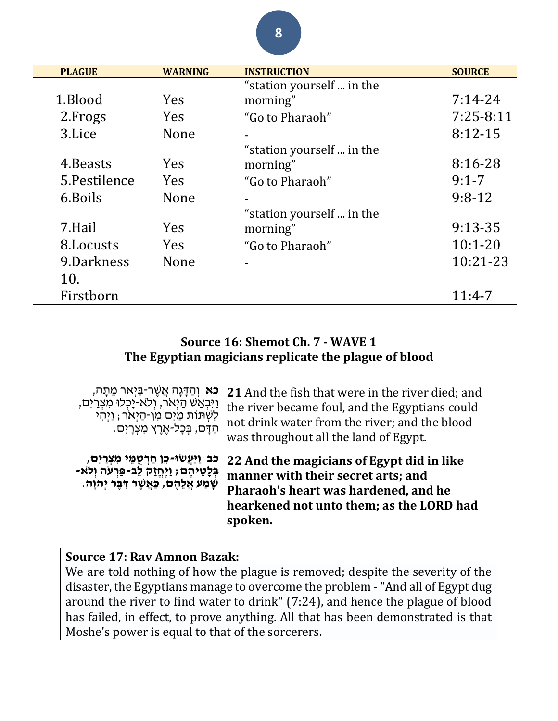| <b>PLAGUE</b> | <b>WARNING</b> | <b>INSTRUCTION</b>        | <b>SOURCE</b> |
|---------------|----------------|---------------------------|---------------|
|               |                | "station yourself  in the |               |
| 1.Blood       | <b>Yes</b>     | morning"                  | $7:14-24$     |
| 2. Frogs      | <b>Yes</b>     | "Go to Pharaoh"           | $7:25-8:11$   |
| 3.Lice        | None           |                           | $8:12-15$     |
|               |                | "station yourself  in the |               |
| 4. Beasts     | <b>Yes</b>     | morning"                  | 8:16-28       |
| 5.Pestilence  | <b>Yes</b>     | "Go to Pharaoh"           | $9:1 - 7$     |
| 6. Boils      | <b>None</b>    |                           | $9:8-12$      |
|               |                | "station yourself  in the |               |
| 7.Hail        | <b>Yes</b>     | morning"                  | $9:13-35$     |
| 8. Locusts    | <b>Yes</b>     | "Go to Pharaoh"           | $10:1 - 20$   |
| 9.Darkness    | <b>None</b>    |                           | 10:21-23      |
| 10.           |                |                           |               |
| Firstborn     |                |                           | $11:4-7$      |

## **Source 16: Shemot Ch. 7 - WAVE 1 The Egyptian magicians replicate the plague of blood**

| <b>ָכֹא</b> וְהַדָּנָה אֲשֵׁר-בַּיִאֹר מֵתָה,<br>וַיִּבְאַשׁ הַיְאֹר, וְלֹא-יָכְלוּ מִצְרַיִם,<br>לִשְׁתּוֹת מַיִם מִן-הַיְאֹר , וַיְהִי<br>ּהַדָּם, בִּכָל-אֵרֵץ מִצְרָיִם. | 21 And the fish that were in the river died; and<br>the river became foul, and the Egyptians could<br>not drink water from the river; and the blood<br>was throughout all the land of Egypt. |
|------------------------------------------------------------------------------------------------------------------------------------------------------------------------------|----------------------------------------------------------------------------------------------------------------------------------------------------------------------------------------------|
| כּב וַיַּעֲשׂוּ-כֵן חַרְטָמֵי מִצְרַיִם,<br>בְּלָטֵיהֶם; וַיֶּחֶזַק לֵב-פַּרְעֹה וְלֹא-<br>שְׁמַע אֲלֵהֶם, כַּאֲשֶׁר דִּבֶּר יְהוָה.                                         | 22 And the magicians of Egypt did in like<br>manner with their secret arts; and<br>Pharaoh's heart was hardened, and he<br>hearkened not unto them; as the LORD had<br>spoken.               |

## **Source 17: Rav Amnon Bazak:**

We are told nothing of how the plague is removed; despite the severity of the disaster, the Egyptians manage to overcome the problem -"And all of Egypt dug around the river to find water to drink" (7:24), and hence the plague of blood has failed, in effect, to prove anything. All that has been demonstrated is that Moshe's power is equal to that of the sorcerers.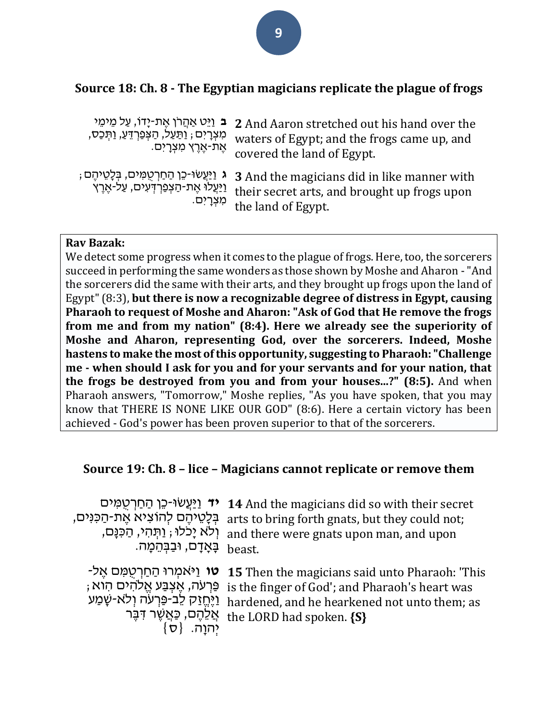## **Source 18: Ch. 8 - The Egyptian magicians replicate the plague of frogs**

| מִצְרָיִם ; וַתַּעַל, הַצִּפַרְדֵּעַ, וַתְּכַַס,<br>ּאֶת-אֶרֶץ מִצְרָיִם.                           | י בּ וַיֵּט אַחֲרֹן אֶת-יָדוֹ, עַל מֵימֵי 2 And Aaron stretched out his hand over the<br>waters of Egypt; and the frogs came up, and<br>covered the land of Egypt. |
|-----------------------------------------------------------------------------------------------------|--------------------------------------------------------------------------------------------------------------------------------------------------------------------|
| ֹג וַיַּעֲשׂוּ-כֵן הַחַרְטֻמִּים, בְּלָטֵיהֶם ;<br><u>וַיַּעֲלוֹ אֱת-הַצְפַרְדָעִים, עַל-אֱרֵץ </u> | <b>3</b> And the magicians did in like manner with<br>their secret arts, and brought up frogs upon<br>מִצְרָיִם.<br>the land of Egypt.                             |

#### **Rav Bazak:**

We detect some progress when it comes to the plague of frogs. Here, too, the sorcerers succeed in performing the same wonders as those shown by Moshe and Aharon -"And the sorcerers did the same with their arts, and they brought up frogs upon the land of Egypt" (8:3), **but there is now a recognizable degree of distress in Egypt, causing Pharaoh to request of Moshe and Aharon: "Ask of God that He remove the frogs from me and from my nation" (8:4). Here we already see the superiority of Moshe and Aharon, representing God, over the sorcerers. Indeed, Moshe hastens to make the most of this opportunity, suggesting to Pharaoh: "Challenge me - when should I ask for you and for your servants and for your nation, that the frogs be destroyed from you and from your houses...?" (8:5).** And when Pharaoh answers, "Tomorrow," Moshe replies, "As you have spoken, that you may know that THERE IS NONE LIKE OUR GOD" (8:6). Here a certain victory has been achieved - God's power has been proven superior to that of the sorcerers.

#### **Source 19: Ch. 8 – lice – Magicians cannot replicate or remove them**

**יד** וַיַּעֲשׂוּ-כֵן הַחַרְטֶמְים **14** And the magicians did so with their secret ּבְ לָטֵ יהֶׁ ם לְהֹוצִ יא אֶׁ ת- הַ כִ נִים, arts to bring forth gnats, but they could not; , יִלֹא יָכֹלוּ; וַתְּהִי, הַכִּנָּם, and there were gnats upon man, and upon .<sub>beast</sub> בָּאָדָם, וּבַבְּהֵמָה. יאמְרוּ הַחַרְטֻמִּם אֶל־ **15** Then the magicians said unto Pharaoh: 'This ; פַּרְעֹה, אֶצְבַּע אֱלֹהִים הִוא is the finger of God'; and Pharaoh's heart was וַיֶּחֱזַק לֵב-פַּרְעֹה וְלֹא-שָׁמַע hardened, and he hearkened not unto them; as ּאֲלֵהֶם, כַּאֲשֶׁר דִּבֶּר the LORD had spoken. **{S}**

 $\{\sigma\}$  יְהוָה.  $\{\sigma\}$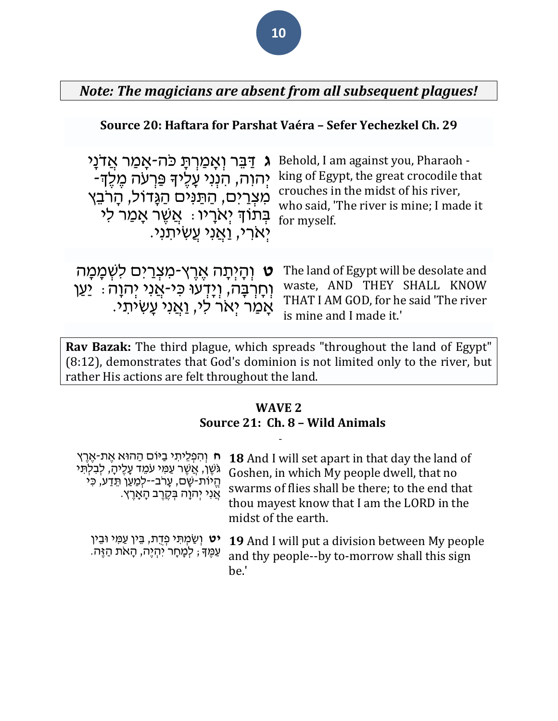## *Note: The magicians are absent from all subsequent plagues!*

#### **Source 20: Haftara for Parshat Vaéra – Sefer Yechezkel Ch. 29**

**ג** ּדַ ּבֵ ר וְ אָ מַ רְ ּתָ כֹה-אָ מַ ר אֲ דֹנָי מִצְרַיִם, הַתַּנִּים הַגְּדוֹל, הָרֹבֵץ ֿבְּתֹוֹךְ יְאֹרָיו: אֲשֶׁר אָמַר לִי יִארי, <u>וַאֲ</u>נִי עֲשִ**יֹתְנִי**.

יְהוָה, הִנְנִי עָלֶיךָ פַּרְעֹה מֶלֶךְ-<br>מוֹ smarks in the width fhis misses Behold, I am against you, Pharaoh crouches in the midst of his river, who said, 'The river is mine; I made it for myself.

**ּט** וְהָיִתָה אֵרֵץ-מִצְרַים לִשְׁמָמָה וְחָרְבָּה, וְיָדְעוּ כִּי-אֲנִי יְהוָה : יַעַן אָמַר יְאֹר לִי, <u>ו</u>ּאֲנִי עָשִׂיתִי. The land of Egypt will be desolate and waste, AND THEY SHALL KNOW THAT I AM GOD, for he said 'The river is mine and I made it.'

**Rav Bazak:** The third plague, which spreads "throughout the land of Egypt" (8:12), demonstrates that God's dominion is not limited only to the river, but rather His actions are felt throughout the land.

-

#### **WAVE 2 Source 21: Ch. 8 – Wild Animals**

**ח** וְ הִ פְ לֵיתִ י בַ ּיֹום הַ הּוא אֶׁ ת-אֶׁ רֶׁ ץ ּגֹשֶׁ ן, אֲ שֶׁ ר עַ מִ י עֹמֵ ד עָ לֶׁיהָ , לְבִ לְּתִ י ּהֵיוֹת-שָׁם, עָרֹב--לִמַּעֵן תֵּדַע, כִּי ּאֲנִי יִהוָה בְּקֶרֶב הָאָרֵץ.

**18** And I will set apart in that day the land of Goshen, in which My people dwell, that no swarms of flies shall be there; to the end that thou mayest know that I am the LORD in the midst of the earth.

**יט** וְשַׂמְתִּי פְדָת, בֵּין עַמִּי וּבֵין ּעַמֶּךָ; לְמָחָר יִהְיֵה, הָאֹת הַזֶּה. **19** And I will put a division between My people and thy people--by to-morrow shall this sign be.'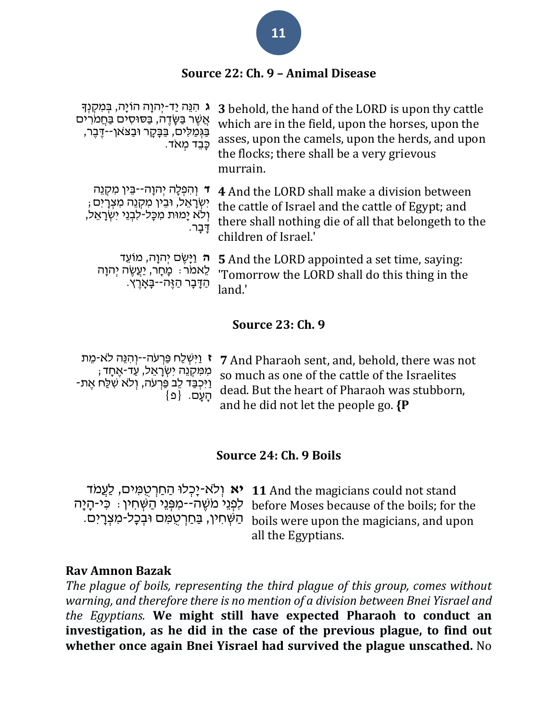## **Source 22: Ch. 9 – Animal Disease**

| <b>ג</b> הִגֵּה יַד-יְהוָה הוֹיָה, בְּמִקְנְךָ<br>אֲשֶׁר בַּשָּׂדֶה, בַּסוּסִים בַּחֲמֹרִים<br>בַּגְּמַלִּים, בַּבָּקָר וּבַצֹּאן--דֶּבֵר,<br>כַּבֵד מְאֹד. | 3 behold, the hand of the LORD is upon thy cattle<br>which are in the field, upon the horses, upon the<br>asses, upon the camels, upon the herds, and upon<br>the flocks; there shall be a very grievous<br>murrain. |
|-------------------------------------------------------------------------------------------------------------------------------------------------------------|----------------------------------------------------------------------------------------------------------------------------------------------------------------------------------------------------------------------|
| וְהִפְלָה יְהוָה--בֵּין מִקְנֵה<br>יִשְׂרָאֵל, וּבִין מִקְנֵה מִצְרָיִם ;<br>וְלֹא יָמוּת מִכָּל-לִבְנֵי יִשְׂרָאֵל,<br>דָּבָר.                             | 4 And the LORD shall make a division between<br>the cattle of Israel and the cattle of Egypt; and<br>there shall nothing die of all that belongeth to the<br>children of Israel.'                                    |
| <del>ה וַי</del> ְשֶׂם יְהוָה, מוֹעֵד<br>לֵאמֹר ִּ מְחָר, יַעֲשֶׂה יְהוָה<br>ּהַדָּבָר הַזֶּה--בָּאַרֵץ.                                                    | <b>5</b> And the LORD appointed a set time, saying:<br>'Tomorrow the LORD shall do this thing in the<br>land.'                                                                                                       |

#### **Source 23: Ch. 9**

| יַ יַיִּשְׁלַח פַּרְעֹה־-יְוְהָנֵּה לֹא-מֵת 7 And Pharaoh sent, and, behold, there was not |
|--------------------------------------------------------------------------------------------|
| ; מִמְקְנֵה יִשְׂרָאֵל, עַד-אֶחָד so much as one of the cattle of the Israelites           |
|                                                                                            |
| and he did not let the people go. {P                                                       |

#### **Source 24: Ch. 9 Boils**

**יא** וְלֹא-יָכְלוּ הַחַרְטֻמִּים, לַעֲמֹד **11** And the magicians could not stand ּלִפְּגֵי הַשְּׁחִין: כִּי-הָיָה before Moses because of the boils; for the ּהַשְּׁחִין, בַּחַרְטְמִּם וּבִכָּל-מִצְרָיִם. boils were upon the magicians, and upon all the Egyptians.

#### **Rav Amnon Bazak**

*The plague of boils, representing the third plague of this group, comes without warning, and therefore there is no mention of a division between Bnei Yisrael and the Egyptians.* **We might still have expected Pharaoh to conduct an investigation, as he did in the case of the previous plague, to find out whether once again Bnei Yisrael had survived the plague unscathed.** No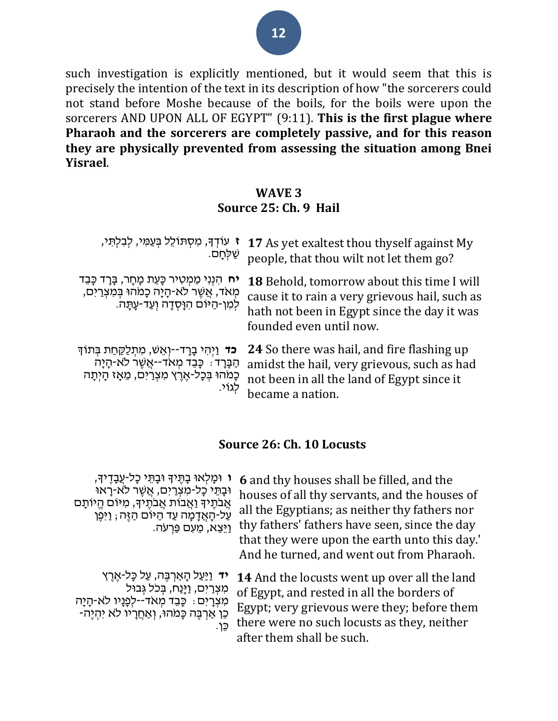such investigation is explicitly mentioned, but it would seem that this is precisely the intention of the text in its description of how "the sorcerers could not stand before Moshe because of the boils, for the boils were upon the sorcerers AND UPON ALL OF EGYPT" (9:11). **This is the first plague where Pharaoh and the sorcerers are completely passive, and for this reason they are physically prevented from assessing the situation among Bnei Yisrael**.

#### **WAVE 3**

#### **Source 25: Ch. 9 Hail**

| ז עוֹדְךָ, מִסְתּוֹלֵל בְּעַמִּי, לִבְלִתִּי,<br>ּשַׁלְחָם.                                                                                                     | 17 As yet exaltest thou thyself against My<br>people, that thou wilt not let them go?                                                                                  |
|-----------------------------------------------------------------------------------------------------------------------------------------------------------------|------------------------------------------------------------------------------------------------------------------------------------------------------------------------|
| <b>יח</b> הִנְנִי מַמְטִיר כָּעֵת מָחָר, בָּרָד כָּבֵד<br>מְאֹד, אֲשֶׁר לֹא-הָיָה כְּמֹחוּ בְּמִצְרַיִם,<br>לְמִן-הַיּוֹם הִוַּסְדָה וְעַד-עָתָּה.              | 18 Behold, tomorrow about this time I will<br>cause it to rain a very grievous hail, such as<br>hath not been in Egypt since the day it was<br>founded even until now. |
| <b>כד</b> וַיְהִי בָרָד--וְאֵשׁ, מִתְלַקֵּחַת בִּתוֹךְ<br>הַבָּרָד : כָּבִד מְאֹד--אֲשֶׁר לֹא-הָיָה<br>כְּמֹהוּ בְּכָל-אֶרֶץ מִצְרַיִם, מֵאָז הָיְתָה<br>לגוֹי. | 24 So there was hail, and fire flashing up<br>amidst the hail, very grievous, such as had<br>not been in all the land of Egypt since it<br>became a nation.            |

## **Source 26: Ch. 10 Locusts**

**ו** ּומָ לְאּו בָ ּתֶׁ יָך ּובָ ּתֵ י כָל- עֲבָ דֶׁ יָך, ּובָ ּתֵ י כָל-מִ צְ רַ יִם, אֲ שֶׁ ר ל ֹא-רָ אּו אֲבֹתֵיךְ וַאֲבוֹת אֲבֹתֵיךָ, מִיּוֹם הֱיוֹתַם ּעֲל-הָאֲדָמָה עַד הַיּּוֹם הַזֶּה; וַיִּפֵן ויּצֵא, מֵעִם פַּרְעֹה. **6** and thy houses shall be filled, and the houses of all thy servants, and the houses of all the Egyptians; as neither thy fathers nor thy fathers' fathers have seen, since the day that they were upon the earth unto this day.' And he turned, and went out from Pharaoh. **יד** וַיַּעַל הַאֲרִבֶּה, עַל כַּל-אֶרֶץ ּמְצְרַיִם, וַיַּנַח, בְּכֹל גְּבוּל ּמְצְרַיִם: כַּבֵד מְאֹד--לְפַנַיו לֹא-הַיַּה ּכֵּן אַרְבֶּה כַּמֹהוּ, וְאַחֲרָיו לֹא יִהְיַה-כֵן. **14** And the locusts went up over all the land of Egypt, and rested in all the borders of Egypt; very grievous were they; before them there were no such locusts as they, neither

after them shall be such.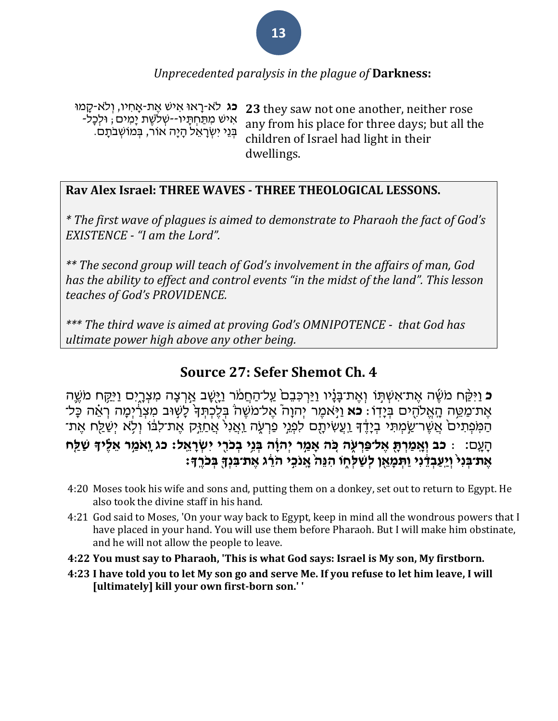## *Unprecedented paralysis in the plague of* **Darkness:**

**כג** לֹא-רֵאוּ אִישׁ אֱת-אֲחִיו, וְלֹא-קֵמוּ אִ יש מִ ּתַ חְ ּתָ יו--שְ ֹלשֶׁ ת יָמִ ים; ּולְכָל- ּבְּנֵי יִשְׂרָאֵל הַיַּה אוֹר, בְּמוֹשָׁבֹתֵם. **23** they saw not one another, neither rose any from his place for three days; but all the children of Israel had light in their dwellings.

#### **Rav Alex Israel: THREE WAVES - THREE THEOLOGICAL LESSONS.**

*\* The first wave of plagues is aimed to demonstrate to Pharaoh the fact of God's EXISTENCE - "I am the Lord".*

*\*\* The second group will teach of God's involvement in the affairs of man, God has the ability to effect and control events "in the midst of the land". This lesson teaches of God's PROVIDENCE.*

*\*\*\* The third wave is aimed at proving God's OMNIPOTENCE - that God has ultimate power high above any other being.*

## **Source 27: Sefer Shemot Ch. 4**

ָ**ּכ** וַיִּקַּח מֹשֶׁה אֵת־אִשְׁתָּוֹ וְאֵת־בַּנָּ֫יו וַיַּרְכִּבֵם עַל־הַחֲמֹר וַיָּשֶׁב אַרְצָה מִצְרֶיִם וַיִּקַח מֹשֶׁה אֶת־מַמֵּה הָאֱלֹהָים בְּיָדוֹ **ּ כֹא** וַיְּאמֶר יְהוָה ֿאֶל־מֹשֶׁה בְּלֶכְתְּדְּ לָשִׂוּב מִצְרַיִּמָה רְאֵ֫ה כָּל־ ֿהַמְּׂפְתִים אֲשֶׁר־שֵׂמְתִּי בְיָדֶד וַעֲשִׂיתָם לִפְנֵי פַרְעָׂה וַאֲנִי אֲחַזֵּק אֱת־לִבּׂוֹ וְלָא יִשַׁלַח אֶת־ הָעֶם: : כֹּב וְאֶמַּרְתָּ אֵל־פַּרְעָ*ּה כִּה אֲמֵר יְהוָֹה בְּנֵי בְּכֹּרֶי יְ*שְׂרָאֵל: כֹּג וֵאֹמֵ֣ר אֶלֶּידְ שַׁלֶַּח אֶת־בִּנִי וַיֵּעֲבִדֶּנִי וַתְּמַאֵן לְשָׁלְחִוּ הִנֵּה אֲנֹכֵי הֹרֶג אֶת־בִּנְךָּ בְּכֹרֵדְּ׃

- 4:20 Moses took his wife and [sons](http://bible.ort.org/books/pentd2.asp?ACTION=displaypage&BOOK=2&CHAPTER=4#C1044) and, putting them on a donkey, set out to return to Egypt. He also took the divine staff in his hand.
- 4:21 God said to Moses, 'On your way back to Egypt, keep in mind all the wondrous powers that I have placed in your hand. You will use them before Pharaoh. But I will make him [obstinate,](http://bible.ort.org/books/pentd2.asp?ACTION=displaypage&BOOK=2&CHAPTER=4#C1045) and he will not allow the people to leave.
- **4:22 You must say to Pharaoh, 'This is what God says: Israel is My son, My firstborn.**
- 4:23 I have told you to let My son go and serve Me. If you refuse to let him leave, I will **[ultimately] kill your own first-born son.' '**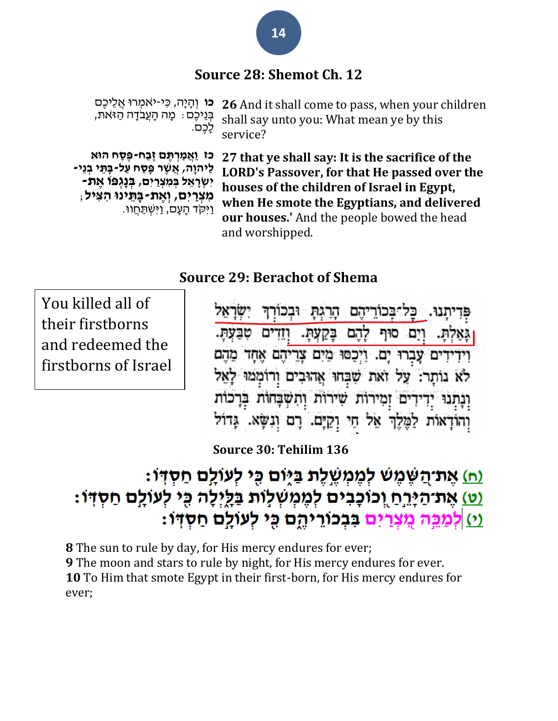## **Source 28: Shemot Ch. 12**

**כו** וְהַיַּה, כִּי-יֹאמְרוּ אֲלֵיכֶם ּבְ נֵיכֶׁם: מָ ה הָ עֲבֹדָ ה הַ ז ֹאת, לָכֶׁם. **26** And it shall come to pass, when your children shall say unto you: What mean ye by this service?

**כז וַּאֲ מַּ רְׁ תֶ ם זֶבַּ ח -פֶסַּ ח הּוא לַּיהוָה, אֲ שֶ ר פָסַּ ח עַּ ל-בָתֵ י בְׁ נֵי - יִשְׁ רָ אֵ ל בְׁ מִ צְׁ רַּ יִם, בְׁ נָגְׁ פֹו אֶ ת- מִ צְׁ רַּ יִם, וְׁ אֶ ת-בָ תֵ ינּו הִ צִ יל**; וַּיִקֹד הָ עָ ם, וַּיִשְ ּתַ חֲ וּו. **27 that ye shall say: It is the sacrifice of the LORD's Passover, for that He passed over the houses of the children of Israel in Egypt, when He smote the Egyptians, and delivered our houses.'** And the people bowed the head and worshipped.

## **Source 29: Berachot of Shema**

You killed all of their firstborns and redeemed the firstborns of Israel

ובכורד תנו. כל־בכוריהם הרגת להם בקעת. וודים טבע וים סוף וידידים עברו ים. ויכסו מים צריהם אחד מהם לא נותר: על ואת שבחו אהובים ורוממו לאל וְנַתְנוּ יִדְידִים זַמְירוֹת שִׁירוֹת וְהִשְׁבָּחוֹת בְּדְכוֹת וְהוֹדָאוֹת לַמֶּלֶךְ אֵל הַיִּ וְקַיָּם. רָם וְנִשָּׂא. גָּדוֹל

**Source 30: Tehilim 136**

# <u>ְיָה)</u> אֶת־הֲשֶׁמֶשׁ לְמֶמְשֶׁלֶת בַּיָּוֹם כִּי לְעוֹלֵם חַסְדְּוֹ: <u>ְיט) אֵת־הַיָּרֵח וְכוֹכָבִים לְמֵמְשְׁלְוֹת בַּלֵילָה כִּי לְעוֹלֵם חַסְדְּוֹ:</u> <u>וֹן לְמַכֵּה מֵצְרַיִם בְבְכוֹרֵיהֵם כֵּי לְעוֹלֵם חַסְדוֹ:</u>

 The sun to rule by day, for His mercy endures for ever; The moon and stars to rule by night, for His mercy endures for ever. To Him that smote Egypt in their first-born, for His mercy endures for ever;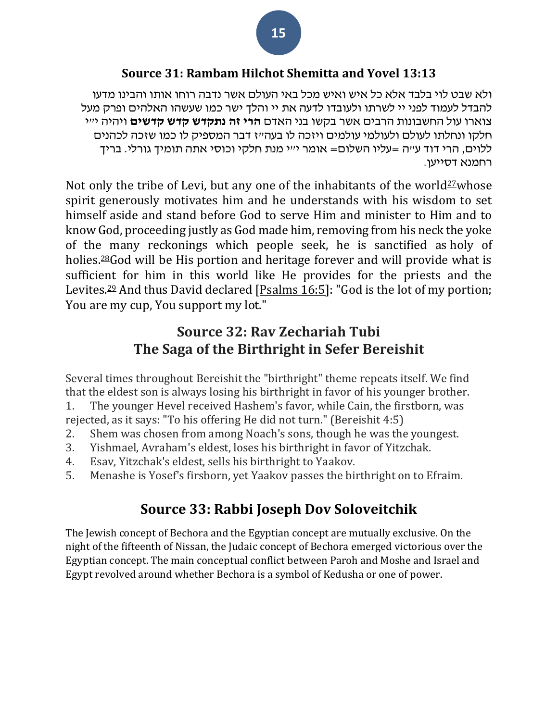### **Source 31: Rambam Hilchot Shemitta and Yovel 13:13**

ולא שבט לוי בלבד אלא כל איש ואיש מכל באי העולם אשר נדבה רוחו אותו והבינו מדעו להבדל לעמוד לפני יי לשרתו ולעובדו לדעה את יי והלך ישר כמו שעשהו האלהים ופרק מעל צוארו עול החשבונות הרבים אשר בקשו בני האדם **הרי זה נתקדש קדש קדשים** ויהיה י"י חלקו ונחלתו לעולם ולעולמי עולמים ויזכה לו בעה״ז דבר המספיק לו כמו שזכה לכהנים ללוים, הרי דוד ע"ה =עליו השלום= אומר י"י מנת חלקי וכוסי אתה תומיך גורלי. בריך רחמנא דסייען.

Not only the tribe of Levi, but any one of the inhabitants of the world<sup>[27](javascript:doFootnote()</sup>whose spirit generously motivates him and he understands with his wisdom to set himself aside and stand before God to serve Him and minister to Him and to know God, proceeding justly as God made him, removing from his neck the yoke of the many reckonings which people seek, he is sanctified as holy of holies.<sup>[28](javascript:doFootnote()</sup>God will be His portion and heritage forever and will provide what is sufficient for him in this world like He provides for the priests and the Levites.<sup>[29](javascript:doFootnote()</sup> And thus David declared [\[Psalms 16:5\]](http://www.chabad.org/16237#v5): "God is the lot of my portion; You are my cup, You support my lot."

## **Source 32: Rav Zechariah Tubi The Saga of the Birthright in Sefer Bereishit**

Several times throughout Bereishit the "birthright" theme repeats itself. We find that the eldest son is always losing his birthright in favor of his younger brother. 1. The younger Hevel received Hashem's favor, while Cain, the firstborn, was rejected, as it says: "To his offering He did not turn." (Bereishit 4:5)

- 2. Shem was chosen from among Noach's sons, though he was the youngest.
- 3. Yishmael, Avraham's eldest, loses his birthright in favor of Yitzchak.
- 4. Esav, Yitzchak's eldest, sells his birthright to Yaakov.
- 5. Menashe is Yosef's firsborn, yet Yaakov passes the birthright on to Efraim.

## **Source 33: Rabbi Joseph Dov Soloveitchik**

The Jewish concept of Bechora and the Egyptian concept are mutually exclusive. On the night of the fifteenth of Nissan, the Judaic concept of Bechora emerged victorious over the Egyptian concept. The main conceptual conflict between Paroh and Moshe and Israel and Egypt revolved around whether Bechora is a symbol of Kedusha or one of power.